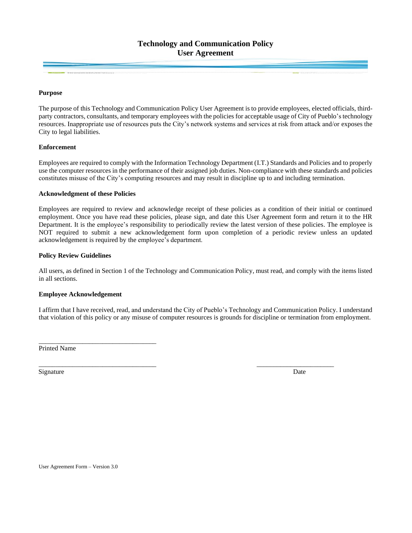## **Technology and Communication Policy User Agreement**

#### **Purpose**

The purpose of this Technology and Communication Policy User Agreement is to provide employees, elected officials, thirdparty contractors, consultants, and temporary employees with the policies for acceptable usage of City of Pueblo's technology resources. Inappropriate use of resources puts the City's network systems and services at risk from attack and/or exposes the City to legal liabilities.

#### **Enforcement**

Employees are required to comply with the Information Technology Department (I.T.) Standards and Policies and to properly use the computer resources in the performance of their assigned job duties. Non-compliance with these standards and policies constitutes misuse of the City's computing resources and may result in discipline up to and including termination.

#### **Acknowledgment of these Policies**

Employees are required to review and acknowledge receipt of these policies as a condition of their initial or continued employment. Once you have read these policies, please sign, and date this User Agreement form and return it to the HR Department. It is the employee's responsibility to periodically review the latest version of these policies. The employee is NOT required to submit a new acknowledgement form upon completion of a periodic review unless an updated acknowledgement is required by the employee's department.

#### **Policy Review Guidelines**

All users, as defined in Section 1 of the Technology and Communication Policy, must read, and comply with the items listed in all sections.

#### **Employee Acknowledgement**

\_\_\_\_\_\_\_\_\_\_\_\_\_\_\_\_\_\_\_\_\_\_\_\_\_\_\_\_\_\_\_\_\_\_\_

I affirm that I have received, read, and understand the City of Pueblo's Technology and Communication Policy. I understand that violation of this policy or any misuse of computer resources is grounds for discipline or termination from employment.

\_\_\_\_\_\_\_\_\_\_\_\_\_\_\_\_\_\_\_\_\_\_\_\_\_\_\_\_\_\_\_\_\_\_\_ \_\_\_\_\_\_\_\_\_\_\_\_\_\_\_\_\_\_\_\_\_\_\_

Printed Name

Signature Date Date of the Date of the United States of the United States of the United States of the United States of the United States of the United States of the United States of the United States of the United States o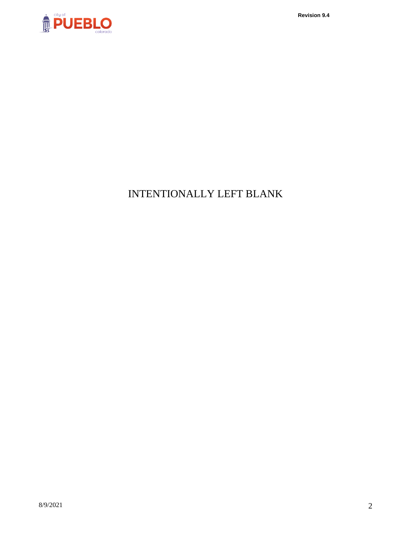

# INTENTIONALLY LEFT BLANK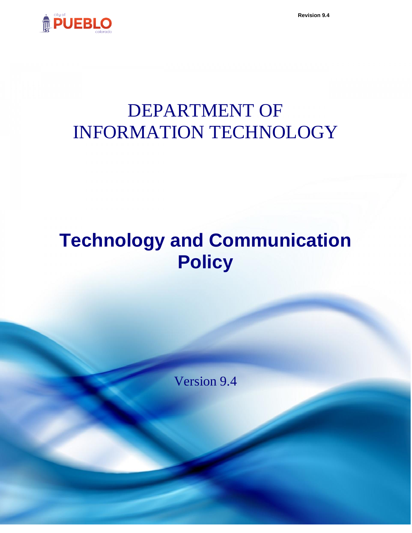

# DEPARTMENT OF INFORMATION TECHNOLOGY

# **Technology and Communication Policy**

Version 9.4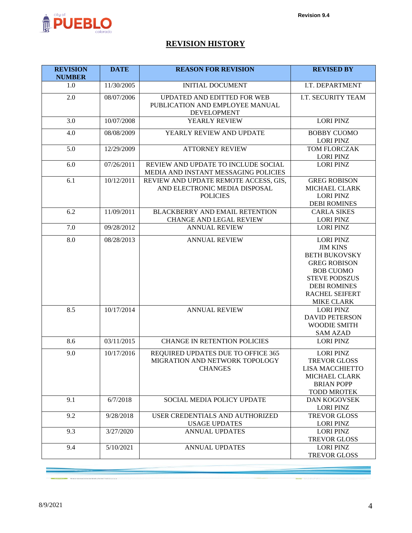

# **REVISION HISTORY**

| <b>REVISION</b> | <b>DATE</b> | <b>REASON FOR REVISION</b>                                                                | <b>REVISED BY</b>                                                                                                                                                                                   |
|-----------------|-------------|-------------------------------------------------------------------------------------------|-----------------------------------------------------------------------------------------------------------------------------------------------------------------------------------------------------|
| <b>NUMBER</b>   |             |                                                                                           |                                                                                                                                                                                                     |
| 1.0             | 11/30/2005  | <b>INITIAL DOCUMENT</b>                                                                   | <b>I.T. DEPARTMENT</b>                                                                                                                                                                              |
| 2.0             | 08/07/2006  | UPDATED AND EDITTED FOR WEB<br>PUBLICATION AND EMPLOYEE MANUAL<br><b>DEVELOPMENT</b>      | <b>I.T. SECURITY TEAM</b>                                                                                                                                                                           |
| 3.0             | 10/07/2008  | YEARLY REVIEW                                                                             | <b>LORI PINZ</b>                                                                                                                                                                                    |
| 4.0             | 08/08/2009  | YEARLY REVIEW AND UPDATE                                                                  | <b>BOBBY CUOMO</b><br><b>LORI PINZ</b>                                                                                                                                                              |
| 5.0             | 12/29/2009  | <b>ATTORNEY REVIEW</b>                                                                    | <b>TOM FLORCZAK</b><br><b>LORI PINZ</b>                                                                                                                                                             |
| 6.0             | 07/26/2011  | REVIEW AND UPDATE TO INCLUDE SOCIAL<br>MEDIA AND INSTANT MESSAGING POLICIES               | <b>LORI PINZ</b>                                                                                                                                                                                    |
| 6.1             | 10/12/2011  | REVIEW AND UPDATE REMOTE ACCESS, GIS,<br>AND ELECTRONIC MEDIA DISPOSAL<br><b>POLICIES</b> | <b>GREG ROBISON</b><br>MICHAEL CLARK<br><b>LORI PINZ</b><br><b>DEBI ROMINES</b>                                                                                                                     |
| 6.2             | 11/09/2011  | <b>BLACKBERRY AND EMAIL RETENTION</b><br>CHANGE AND LEGAL REVIEW                          | <b>CARLA SIKES</b><br><b>LORI PINZ</b>                                                                                                                                                              |
| 7.0             | 09/28/2012  | <b>ANNUAL REVIEW</b>                                                                      | <b>LORI PINZ</b>                                                                                                                                                                                    |
| 8.0             | 08/28/2013  | <b>ANNUAL REVIEW</b>                                                                      | <b>LORI PINZ</b><br><b>JIM KINS</b><br><b>BETH BUKOVSKY</b><br><b>GREG ROBISON</b><br><b>BOB CUOMO</b><br><b>STEVE PODSZUS</b><br><b>DEBI ROMINES</b><br><b>RACHEL SEIFERT</b><br><b>MIKE CLARK</b> |
| 8.5             | 10/17/2014  | <b>ANNUAL REVIEW</b>                                                                      | <b>LORI PINZ</b><br><b>DAVID PETERSON</b><br><b>WOODIE SMITH</b><br><b>SAM AZAD</b>                                                                                                                 |
| 8.6             | 03/11/2015  | <b>CHANGE IN RETENTION POLICIES</b>                                                       | <b>LORI PINZ</b>                                                                                                                                                                                    |
| 9.0             | 10/17/2016  | REQUIRED UPDATES DUE TO OFFICE 365<br>MIGRATION AND NETWORK TOPOLOGY<br><b>CHANGES</b>    | <b>LORI PINZ</b><br><b>TREVOR GLOSS</b><br><b>LISA MACCHIETTO</b><br><b>MICHAEL CLARK</b><br><b>BRIAN POPP</b><br><b>TODD MROTEK</b>                                                                |
| 9.1             | 6/7/2018    | SOCIAL MEDIA POLICY UPDATE                                                                | <b>DAN KOGOVSEK</b><br><b>LORI PINZ</b>                                                                                                                                                             |
| 9.2             | 9/28/2018   | USER CREDENTIALS AND AUTHORIZED<br><b>USAGE UPDATES</b>                                   | <b>TREVOR GLOSS</b><br><b>LORI PINZ</b>                                                                                                                                                             |
| 9.3             | 3/27/2020   | <b>ANNUAL UPDATES</b>                                                                     | <b>LORI PINZ</b><br><b>TREVOR GLOSS</b>                                                                                                                                                             |
| 9.4             | 5/10/2021   | <b>ANNUAL UPDATES</b>                                                                     | <b>LORI PINZ</b><br><b>TREVOR GLOSS</b>                                                                                                                                                             |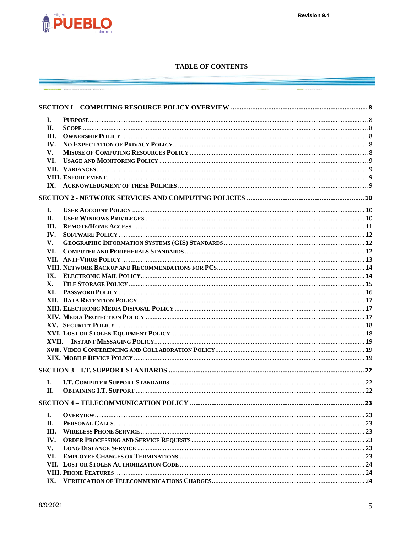

#### **TABLE OF CONTENTS**

| I.        |  |  |
|-----------|--|--|
| П.        |  |  |
| Ш.        |  |  |
| IV.       |  |  |
| V.        |  |  |
| VI.       |  |  |
|           |  |  |
|           |  |  |
|           |  |  |
|           |  |  |
| L.        |  |  |
| Н.        |  |  |
| Ш.        |  |  |
| IV.       |  |  |
| V.        |  |  |
| VI.       |  |  |
|           |  |  |
|           |  |  |
|           |  |  |
| <b>X.</b> |  |  |
|           |  |  |
|           |  |  |
|           |  |  |
|           |  |  |
|           |  |  |
|           |  |  |
|           |  |  |
|           |  |  |
|           |  |  |
|           |  |  |
| I.        |  |  |
| Н.        |  |  |
|           |  |  |
| L.        |  |  |
| П.        |  |  |
| Ш.        |  |  |
| IV.       |  |  |
| V.        |  |  |
| VI.       |  |  |
|           |  |  |
|           |  |  |
|           |  |  |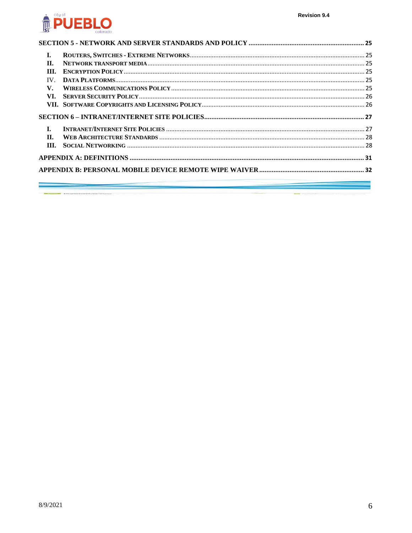| III. |                                                                                       |
|------|---------------------------------------------------------------------------------------|
|      |                                                                                       |
|      |                                                                                       |
|      |                                                                                       |
|      | ENCRYPTION POLICY<br><u> 1989 - Andrea Stadt Britain, amerikansk politik (* 1989)</u> |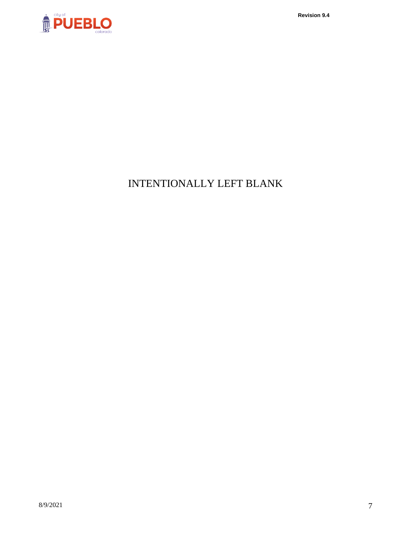

# INTENTIONALLY LEFT BLANK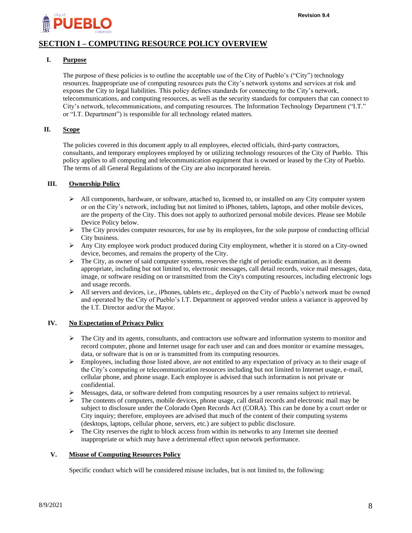

## <span id="page-7-0"></span>**SECTION I – COMPUTING RESOURCE POLICY OVERVIEW**

#### <span id="page-7-1"></span>**I. Purpose**

The purpose of these policies is to outline the acceptable use of the City of Pueblo's ("City") technology resources. Inappropriate use of computing resources puts the City's network systems and services at risk and exposes the City to legal liabilities. This policy defines standards for connecting to the City's network, telecommunications, and computing resources, as well as the security standards for computers that can connect to City's network, telecommunications, and computing resources. The Information Technology Department ("I.T." or "I.T. Department") is responsible for all technology related matters.

#### <span id="page-7-2"></span>**II. Scope**

The policies covered in this document apply to all employees, elected officials, third-party contractors, consultants, and temporary employees employed by or utilizing technology resources of the City of Pueblo. This policy applies to all computing and telecommunication equipment that is owned or leased by the City of Pueblo. The terms of all General Regulations of the City are also incorporated herein.

#### <span id="page-7-3"></span>**III. Ownership Policy**

- $\triangleright$  All components, hardware, or software, attached to, licensed to, or installed on any City computer system or on the City's network, including but not limited to iPhones, tablets, laptops, and other mobile devices, are the property of the City. This does not apply to authorized personal mobile devices. Please see Mobile Device Policy below.
- $\triangleright$  The City provides computer resources, for use by its employees, for the sole purpose of conducting official City business.
- $\triangleright$  Any City employee work product produced during City employment, whether it is stored on a City-owned device, becomes, and remains the property of the City.
- $\triangleright$  The City, as owner of said computer systems, reserves the right of periodic examination, as it deems appropriate, including but not limited to, electronic messages, call detail records, voice mail messages, data, image, or software residing on or transmitted from the City's computing resources, including electronic logs and usage records.
- ➢ All servers and devices, i.e., iPhones, tablets etc., deployed on the City of Pueblo's network must be owned and operated by the City of Pueblo's I.T. Department or approved vendor unless a variance is approved by the I.T. Director and/or the Mayor.

#### <span id="page-7-4"></span>**IV. No Expectation of Privacy Policy**

- $\triangleright$  The City and its agents, consultants, and contractors use software and information systems to monitor and record computer, phone and Internet usage for each user and can and does monitor or examine messages, data, or software that is on or is transmitted from its computing resources.
- ➢ Employees, including those listed above, are not entitled to any expectation of privacy as to their usage of the City's computing or telecommunication resources including but not limited to Internet usage, e-mail, cellular phone, and phone usage. Each employee is advised that such information is not private or confidential.
- ➢ Messages, data, or software deleted from computing resources by a user remains subject to retrieval.
- $\triangleright$  The contents of computers, mobile devices, phone usage, call detail records and electronic mail may be subject to disclosure under the Colorado Open Records Act (CORA). This can be done by a court order or City inquiry; therefore, employees are advised that much of the content of their computing systems (desktops, laptops, cellular phone, servers, etc.) are subject to public disclosure.
- $\triangleright$  The City reserves the right to block access from within its networks to any Internet site deemed inappropriate or which may have a detrimental effect upon network performance.

#### <span id="page-7-5"></span>**V. Misuse of Computing Resources Policy**

Specific conduct which will be considered misuse includes, but is not limited to, the following: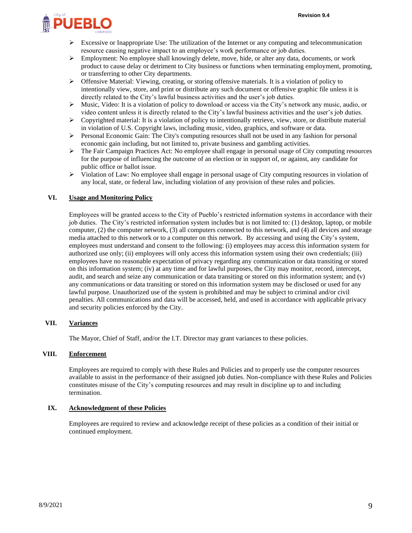

- $\triangleright$  Excessive or Inappropriate Use: The utilization of the Internet or any computing and telecommunication resource causing negative impact to an employee's work performance or job duties.
- $\triangleright$  Employment: No employee shall knowingly delete, move, hide, or alter any data, documents, or work product to cause delay or detriment to City business or functions when terminating employment, promoting, or transferring to other City departments.
- ➢ Offensive Material: Viewing, creating, or storing offensive materials. It is a violation of policy to intentionally view, store, and print or distribute any such document or offensive graphic file unless it is directly related to the City's lawful business activities and the user's job duties.
- ➢ Music, Video: It is a violation of policy to download or access via the City's network any music, audio, or video content unless it is directly related to the City's lawful business activities and the user's job duties.
- $\triangleright$  Copyrighted material: It is a violation of policy to intentionally retrieve, view, store, or distribute material in violation of U.S. Copyright laws, including music, video, graphics, and software or data.
- ➢ Personal Economic Gain: The City's computing resources shall not be used in any fashion for personal economic gain including, but not limited to, private business and gambling activities.
- $\triangleright$  The Fair Campaign Practices Act: No employee shall engage in personal usage of City computing resources for the purpose of influencing the outcome of an election or in support of, or against, any candidate for public office or ballot issue.
- ➢ Violation of Law: No employee shall engage in personal usage of City computing resources in violation of any local, state, or federal law, including violation of any provision of these rules and policies.

#### <span id="page-8-0"></span>**VI. Usage and Monitoring Policy**

Employees will be granted access to the City of Pueblo's restricted information systems in accordance with their job duties. The City's restricted information system includes but is not limited to: (1) desktop, laptop, or mobile computer, (2) the computer network, (3) all computers connected to this network, and (4) all devices and storage media attached to this network or to a computer on this network. By accessing and using the City's system, employees must understand and consent to the following: (i) employees may access this information system for authorized use only; (ii) employees will only access this information system using their own credentials; (iii) employees have no reasonable expectation of privacy regarding any communication or data transiting or stored on this information system; (iv) at any time and for lawful purposes, the City may monitor, record, intercept, audit, and search and seize any communication or data transiting or stored on this information system; and (v) any communications or data transiting or stored on this information system may be disclosed or used for any lawful purpose. Unauthorized use of the system is prohibited and may be subject to criminal and/or civil penalties. All communications and data will be accessed, held, and used in accordance with applicable privacy and security policies enforced by the City.

#### <span id="page-8-1"></span>**VII. Variances**

The Mayor, Chief of Staff, and/or the I.T. Director may grant variances to these policies.

#### <span id="page-8-2"></span>**VIII. Enforcement**

Employees are required to comply with these Rules and Policies and to properly use the computer resources available to assist in the performance of their assigned job duties. Non-compliance with these Rules and Policies constitutes misuse of the City's computing resources and may result in discipline up to and including termination.

#### <span id="page-8-3"></span>**IX. Acknowledgment of these Policies**

Employees are required to review and acknowledge receipt of these policies as a condition of their initial or continued employment.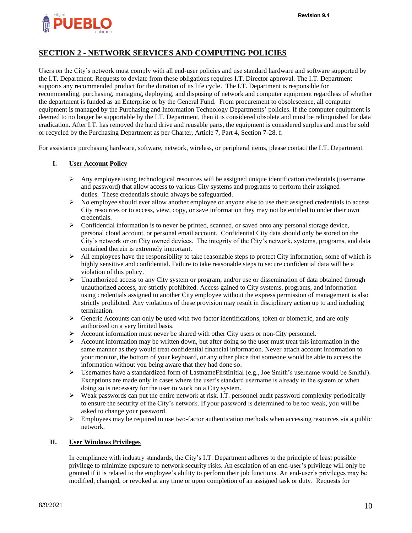

## <span id="page-9-0"></span>**SECTION 2 - NETWORK SERVICES AND COMPUTING POLICIES**

Users on the City's network must comply with all end-user policies and use standard hardware and software supported by the I.T. Department. Requests to deviate from these obligations requires I.T. Director approval. The I.T. Department supports any recommended product for the duration of its life cycle. The I.T. Department is responsible for recommending, purchasing, managing, deploying, and disposing of network and computer equipment regardless of whether the department is funded as an Enterprise or by the General Fund. From procurement to obsolescence, all computer equipment is managed by the Purchasing and Information Technology Departments' policies. If the computer equipment is deemed to no longer be supportable by the I.T. Department, then it is considered obsolete and must be relinquished for data eradication. After I.T. has removed the hard drive and reusable parts, the equipment is considered surplus and must be sold or recycled by the Purchasing Department as per Charter, Article 7, Part 4, Section 7-28. f.

<span id="page-9-1"></span>For assistance purchasing hardware, software, network, wireless, or peripheral items, please contact the I.T. Department.

#### **I. User Account Policy**

- $\triangleright$  Any employee using technological resources will be assigned unique identification credentials (username and password) that allow access to various City systems and programs to perform their assigned duties. These credentials should always be safeguarded.
- $\triangleright$  No employee should ever allow another employee or anyone else to use their assigned credentials to access City resources or to access, view, copy, or save information they may not be entitled to under their own credentials.
- $\triangleright$  Confidential information is to never be printed, scanned, or saved onto any personal storage device, personal cloud account, or personal email account. Confidential City data should only be stored on the City's network or on City owned devices. The integrity of the City's network, systems, programs, and data contained therein is extremely important.
- $\triangleright$  All employees have the responsibility to take reasonable steps to protect City information, some of which is highly sensitive and confidential. Failure to take reasonable steps to secure confidential data will be a violation of this policy.
- ➢ Unauthorized access to any City system or program, and/or use or dissemination of data obtained through unauthorized access, are strictly prohibited. Access gained to City systems, programs, and information using credentials assigned to another City employee without the express permission of management is also strictly prohibited. Any violations of these provision may result in disciplinary action up to and including termination.
- $\triangleright$  Generic Accounts can only be used with two factor identifications, token or biometric, and are only authorized on a very limited basis.
- $\triangleright$  Account information must never be shared with other City users or non-City personnel.
- $\triangleright$  Account information may be written down, but after doing so the user must treat this information in the same manner as they would treat confidential financial information. Never attach account information to your monitor, the bottom of your keyboard, or any other place that someone would be able to access the information without you being aware that they had done so.
- $\triangleright$  Usernames have a standardized form of LastnameFirstInitial (e.g., Joe Smith's username would be SmithJ). Exceptions are made only in cases where the user's standard username is already in the system or when doing so is necessary for the user to work on a City system.
- $\triangleright$  Weak passwords can put the entire network at risk. I.T. personnel audit password complexity periodically to ensure the security of the City's network. If your password is determined to be too weak, you will be asked to change your password.
- $\triangleright$  Employees may be required to use two-factor authentication methods when accessing resources via a public network.

#### <span id="page-9-2"></span>**II. User Windows Privileges**

In compliance with industry standards, the City's I.T. Department adheres to the principle of least possible privilege to minimize exposure to network security risks. An escalation of an end-user's privilege will only be granted if it is related to the employee's ability to perform their job functions. An end-user's privileges may be modified, changed, or revoked at any time or upon completion of an assigned task or duty. Requests for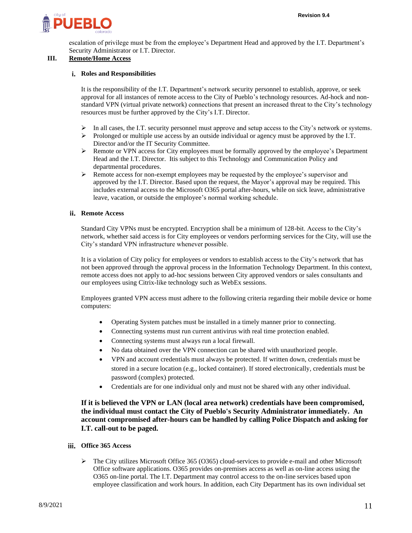

escalation of privilege must be from the employee's Department Head and approved by the I.T. Department's Security Administrator or I.T. Director.

### <span id="page-10-0"></span>**III. Remote/Home Access**

#### **Roles and Responsibilities**

It is the responsibility of the I.T. Department's network security personnel to establish, approve, or seek approval for all instances of remote access to the City of Pueblo's technology resources. Ad-hock and nonstandard VPN (virtual private network) connections that present an increased threat to the City's technology resources must be further approved by the City's I.T. Director.

- In all cases, the I.T. security personnel must approve and setup access to the City's network or systems.
- $\triangleright$  Prolonged or multiple use access by an outside individual or agency must be approved by the I.T. Director and/or the IT Security Committee.
- ➢ Remote or VPN access for City employees must be formally approved by the employee's Department Head and the I.T. Director. Itis subject to this Technology and Communication Policy and departmental procedures.
- ➢ Remote access for non-exempt employees may be requested by the employee's supervisor and approved by the I.T. Director. Based upon the request, the Mayor's approval may be required. This includes external access to the Microsoft O365 portal after-hours, while on sick leave, administrative leave, vacation, or outside the employee's normal working schedule.

#### **Remote Access**

Standard City VPNs must be encrypted. Encryption shall be a minimum of 128-bit. Access to the City's network, whether said access is for City employees or vendors performing services for the City, will use the City's standard VPN infrastructure whenever possible.

It is a violation of City policy for employees or vendors to establish access to the City's network that has not been approved through the approval process in the Information Technology Department. In this context, remote access does not apply to ad-hoc sessions between City approved vendors or sales consultants and our employees using Citrix-like technology such as WebEx sessions.

Employees granted VPN access must adhere to the following criteria regarding their mobile device or home computers:

- Operating System patches must be installed in a timely manner prior to connecting.
- Connecting systems must run current antivirus with real time protection enabled.
- Connecting systems must always run a local firewall.
- No data obtained over the VPN connection can be shared with unauthorized people.
- VPN and account credentials must always be protected. If written down, credentials must be stored in a secure location (e.g., locked container). If stored electronically, credentials must be password (complex) protected.
- Credentials are for one individual only and must not be shared with any other individual.

## **If it is believed the VPN or LAN (local area network) credentials have been compromised, the individual must contact the City of Pueblo's Security Administrator immediately. An account compromised after-hours can be handled by calling Police Dispatch and asking for I.T. call-out to be paged.**

## **Office 365 Access**

➢ The City utilizes Microsoft Office 365 (O365) cloud-services to provide e-mail and other Microsoft Office software applications. O365 provides on-premises access as well as on-line access using the O365 on-line portal. The I.T. Department may control access to the on-line services based upon employee classification and work hours. In addition, each City Department has its own individual set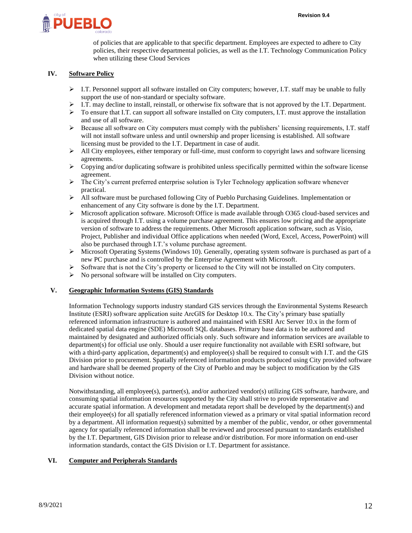

of policies that are applicable to that specific department. Employees are expected to adhere to City policies, their respective departmental policies, as well as the I.T. Technology Communication Policy when utilizing these Cloud Services

#### <span id="page-11-0"></span>**IV. Software Policy**

- $\triangleright$  I.T. Personnel support all software installed on City computers; however, I.T. staff may be unable to fully support the use of non-standard or specialty software.
- $\Sigma$  I.T. may decline to install, reinstall, or otherwise fix software that is not approved by the I.T. Department.
- $\triangleright$  To ensure that I.T. can support all software installed on City computers, I.T. must approve the installation and use of all software.
- $\triangleright$  Because all software on City computers must comply with the publishers' licensing requirements, I.T. staff will not install software unless and until ownership and proper licensing is established. All software licensing must be provided to the I.T. Department in case of audit.
- $\triangleright$  All City employees, either temporary or full-time, must conform to copyright laws and software licensing agreements.
- $\triangleright$  Copying and/or duplicating software is prohibited unless specifically permitted within the software license agreement.
- $\triangleright$  The City's current preferred enterprise solution is Tyler Technology application software whenever practical.
- $\triangleright$  All software must be purchased following City of Pueblo Purchasing Guidelines. Implementation or enhancement of any City software is done by the I.T. Department.
- ➢ Microsoft application software. Microsoft Office is made available through O365 cloud-based services and is acquired through I.T. using a volume purchase agreement. This ensures low pricing and the appropriate version of software to address the requirements. Other Microsoft application software, such as Visio, Project, Publisher and individual Office applications when needed (Word, Excel, Access, PowerPoint) will also be purchased through I.T.'s volume purchase agreement.
- ➢ Microsoft Operating Systems (Windows 10). Generally, operating system software is purchased as part of a new PC purchase and is controlled by the Enterprise Agreement with Microsoft.
- ➢ Software that is not the City's property or licensed to the City will not be installed on City computers.
- ➢ No personal software will be installed on City computers.

#### <span id="page-11-1"></span>**V. Geographic Information Systems (GIS) Standards**

Information Technology supports industry standard GIS services through the Environmental Systems Research Institute (ESRI) software application suite ArcGIS for Desktop 10.x. The City's primary base spatially referenced information infrastructure is authored and maintained with ESRI Arc Server 10.x in the form of dedicated spatial data engine (SDE) Microsoft SQL databases. Primary base data is to be authored and maintained by designated and authorized officials only. Such software and information services are available to department(s) for official use only. Should a user require functionality not available with ESRI software, but with a third-party application, department(s) and employee(s) shall be required to consult with I.T. and the GIS Division prior to procurement. Spatially referenced information products produced using City provided software and hardware shall be deemed property of the City of Pueblo and may be subject to modification by the GIS Division without notice.

Notwithstanding, all employee(s), partner(s), and/or authorized vendor(s) utilizing GIS software, hardware, and consuming spatial information resources supported by the City shall strive to provide representative and accurate spatial information. A development and metadata report shall be developed by the department(s) and their employee(s) for all spatially referenced information viewed as a primary or vital spatial information record by a department. All information request(s) submitted by a member of the public, vendor, or other governmental agency for spatially referenced information shall be reviewed and processed pursuant to standards established by the I.T. Department, GIS Division prior to release and/or distribution. For more information on end-user information standards, contact the GIS Division or I.T. Department for assistance.

#### <span id="page-11-2"></span>**VI. Computer and Peripherals Standards**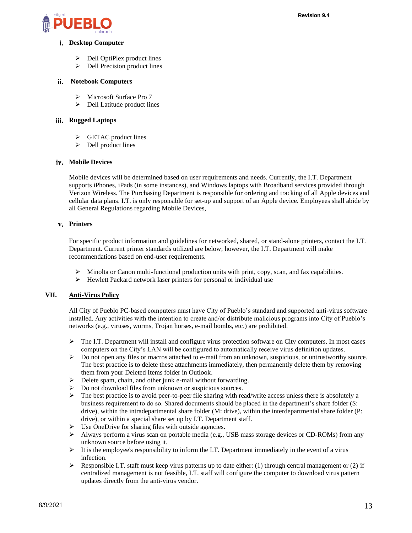

#### **Desktop Computer**

- ➢ Dell OptiPlex product lines
- ➢ Dell Precision product lines

#### **Notebook Computers**

- Microsoft Surface Pro 7
- ➢ Dell Latitude product lines

#### **Rugged Laptops**

- GETAC product lines
- ➢ Dell product lines

#### **Mobile Devices**

Mobile devices will be determined based on user requirements and needs. Currently, the I.T. Department supports iPhones, iPads (in some instances), and Windows laptops with Broadband services provided through Verizon Wireless. The Purchasing Department is responsible for ordering and tracking of all Apple devices and cellular data plans. I.T. is only responsible for set-up and support of an Apple device. Employees shall abide by all General Regulations regarding Mobile Devices,

#### **Printers**

For specific product information and guidelines for networked, shared, or stand-alone printers, contact the I.T. Department. Current printer standards utilized are below; however, the I.T. Department will make recommendations based on end-user requirements.

- $\triangleright$  Minolta or Canon multi-functional production units with print, copy, scan, and fax capabilities.
- ➢ Hewlett Packard network laser printers for personal or individual use

#### <span id="page-12-0"></span>**VII. Anti-Virus Policy**

All City of Pueblo PC-based computers must have City of Pueblo's standard and supported anti-virus software installed. Any activities with the intention to create and/or distribute malicious programs into City of Pueblo's networks (e.g., viruses, worms, Trojan horses, e-mail bombs, etc.) are prohibited.

- ➢ The I.T. Department will install and configure virus protection software on City computers. In most cases computers on the City's LAN will be configured to automatically receive virus definition updates.
- ➢ Do not open any files or macros attached to e-mail from an unknown, suspicious, or untrustworthy source. The best practice is to delete these attachments immediately, then permanently delete them by removing them from your Deleted Items folder in Outlook.
- ➢ Delete spam, chain, and other junk e-mail without forwarding.
- ➢ Do not download files from unknown or suspicious sources.
- $\triangleright$  The best practice is to avoid peer-to-peer file sharing with read/write access unless there is absolutely a business requirement to do so. Shared documents should be placed in the department's share folder (S: drive), within the intradepartmental share folder (M: drive), within the interdepartmental share folder (P: drive), or within a special share set up by I.T. Department staff.
- Use OneDrive for sharing files with outside agencies.
- ➢ Always perform a virus scan on portable media (e.g., USB mass storage devices or CD-ROMs) from any unknown source before using it.
- $\triangleright$  It is the employee's responsibility to inform the I.T. Department immediately in the event of a virus infection.
- ➢ Responsible I.T. staff must keep virus patterns up to date either: (1) through central management or (2) if centralized management is not feasible, I.T. staff will configure the computer to download virus pattern updates directly from the anti-virus vendor.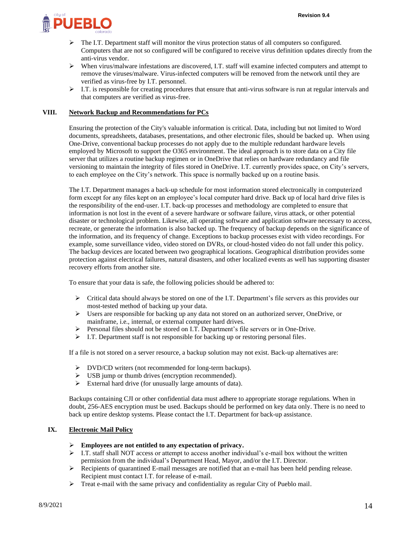

- ➢ The I.T. Department staff will monitor the virus protection status of all computers so configured. Computers that are not so configured will be configured to receive virus definition updates directly from the anti-virus vendor.
- ➢ When virus/malware infestations are discovered, I.T. staff will examine infected computers and attempt to remove the viruses/malware. Virus-infected computers will be removed from the network until they are verified as virus-free by I.T. personnel.
- $\triangleright$  I.T. is responsible for creating procedures that ensure that anti-virus software is run at regular intervals and that computers are verified as virus-free.

#### <span id="page-13-0"></span>**VIII. Network Backup and Recommendations for PCs**

Ensuring the protection of the City's valuable information is critical. Data, including but not limited to Word documents, spreadsheets, databases, presentations, and other electronic files, should be backed up. When using One-Drive, conventional backup processes do not apply due to the multiple redundant hardware levels employed by Microsoft to support the O365 environment. The ideal approach is to store data on a City file server that utilizes a routine backup regimen or in OneDrive that relies on hardware redundancy and file versioning to maintain the integrity of files stored in OneDrive. I.T. currently provides space, on City's servers, to each employee on the City's network. This space is normally backed up on a routine basis.

The I.T. Department manages a back-up schedule for most information stored electronically in computerized form except for any files kept on an employee's local computer hard drive. Back up of local hard drive files is the responsibility of the end-user. I.T. back-up processes and methodology are completed to ensure that information is not lost in the event of a severe hardware or software failure, virus attack, or other potential disaster or technological problem. Likewise, all operating software and application software necessary to access, recreate, or generate the information is also backed up. The frequency of backup depends on the significance of the information, and its frequency of change. Exceptions to backup processes exist with video recordings. For example, some surveillance video, video stored on DVRs, or cloud-hosted video do not fall under this policy. The backup devices are located between two geographical locations. Geographical distribution provides some protection against electrical failures, natural disasters, and other localized events as well has supporting disaster recovery efforts from another site.

To ensure that your data is safe, the following policies should be adhered to:

- $\triangleright$  Critical data should always be stored on one of the I.T. Department's file servers as this provides our most-tested method of backing up your data.
- $\triangleright$  Users are responsible for backing up any data not stored on an authorized server, OneDrive, or mainframe, i.e., internal, or external computer hard drives.
- Personal files should not be stored on I.T. Department's file servers or in One-Drive.
- ➢ I.T. Department staff is not responsible for backing up or restoring personal files.

If a file is not stored on a server resource, a backup solution may not exist. Back-up alternatives are:

- ➢ DVD/CD writers (not recommended for long-term backups).
- ➢ USB jump or thumb drives (encryption recommended).
- ➢ External hard drive (for unusually large amounts of data).

Backups containing CJI or other confidential data must adhere to appropriate storage regulations. When in doubt, 256-AES encryption must be used. Backups should be performed on key data only. There is no need to back up entire desktop systems. Please contact the I.T. Department for back-up assistance.

#### <span id="page-13-1"></span>**IX. Electronic Mail Policy**

- ➢ **Employees are not entitled to any expectation of privacy.**
- $\triangleright$  I.T. staff shall NOT access or attempt to access another individual's e-mail box without the written permission from the individual's Department Head, Mayor, and/or the I.T. Director.
- ➢ Recipients of quarantined E-mail messages are notified that an e-mail has been held pending release. Recipient must contact I.T. for release of e-mail.
- $\triangleright$  Treat e-mail with the same privacy and confidentiality as regular City of Pueblo mail.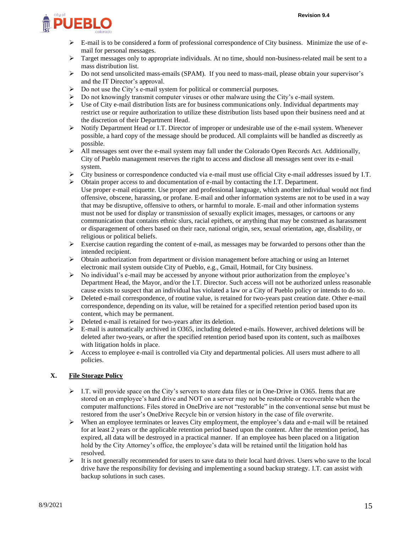

- $\triangleright$  E-mail is to be considered a form of professional correspondence of City business. Minimize the use of email for personal messages.
- $\triangleright$  Target messages only to appropriate individuals. At no time, should non-business-related mail be sent to a mass distribution list.
- ➢ Do not send unsolicited mass-emails (SPAM). If you need to mass-mail, please obtain your supervisor's and the IT Director's approval.
- ➢ Do not use the City's e-mail system for political or commercial purposes.
- ➢ Do not knowingly transmit computer viruses or other malware using the City's e-mail system.
- $\triangleright$  Use of City e-mail distribution lists are for business communications only. Individual departments may restrict use or require authorization to utilize these distribution lists based upon their business need and at the discretion of their Department Head.
- $\triangleright$  Notify Department Head or I.T. Director of improper or undesirable use of the e-mail system. Whenever possible, a hard copy of the message should be produced. All complaints will be handled as discreetly as possible.
- $\triangleright$  All messages sent over the e-mail system may fall under the Colorado Open Records Act. Additionally, City of Pueblo management reserves the right to access and disclose all messages sent over its e-mail system.
- ➢ City business or correspondence conducted via e-mail must use official City e-mail addresses issued by I.T.
- $\triangleright$  Obtain proper access to and documentation of e-mail by contacting the I.T. Department. Use proper e-mail etiquette. Use proper and professional language, which another individual would not find offensive, obscene, harassing, or profane. E-mail and other information systems are not to be used in a way that may be disruptive, offensive to others, or harmful to morale. E-mail and other information systems must not be used for display or transmission of sexually explicit images, messages, or cartoons or any communication that contains ethnic slurs, racial epithets, or anything that may be construed as harassment or disparagement of others based on their race, national origin, sex, sexual orientation, age, disability, or religious or political beliefs.
- $\triangleright$  Exercise caution regarding the content of e-mail, as messages may be forwarded to persons other than the intended recipient.
- ➢ Obtain authorization from department or division management before attaching or using an Internet electronic mail system outside City of Pueblo, e.g., Gmail, Hotmail, for City business.
- $\triangleright$  No individual's e-mail may be accessed by anyone without prior authorization from the employee's Department Head, the Mayor, and/or the I.T. Director. Such access will not be authorized unless reasonable cause exists to suspect that an individual has violated a law or a City of Pueblo policy or intends to do so.
- ➢ Deleted e-mail correspondence, of routine value, is retained for two-years past creation date. Other e-mail correspondence, depending on its value, will be retained for a specified retention period based upon its content, which may be permanent.
- ➢ Deleted e-mail is retained for two-years after its deletion.
- ➢ E-mail is automatically archived in O365, including deleted e-mails. However, archived deletions will be deleted after two-years, or after the specified retention period based upon its content, such as mailboxes with litigation holds in place.
- ➢ Access to employee e-mail is controlled via City and departmental policies. All users must adhere to all policies.

## <span id="page-14-0"></span>**X. File Storage Policy**

- $\triangleright$  I.T. will provide space on the City's servers to store data files or in One-Drive in O365. Items that are stored on an employee's hard drive and NOT on a server may not be restorable or recoverable when the computer malfunctions. Files stored in OneDrive are not "restorable" in the conventional sense but must be restored from the user's OneDrive Recycle bin or version history in the case of file overwrite.
- ➢ When an employee terminates or leaves City employment, the employee's data and e-mail will be retained for at least 2 years or the applicable retention period based upon the content. After the retention period, has expired, all data will be destroyed in a practical manner. If an employee has been placed on a litigation hold by the City Attorney's office, the employee's data will be retained until the litigation hold has resolved.
- $\triangleright$  It is not generally recommended for users to save data to their local hard drives. Users who save to the local drive have the responsibility for devising and implementing a sound backup strategy. I.T. can assist with backup solutions in such cases.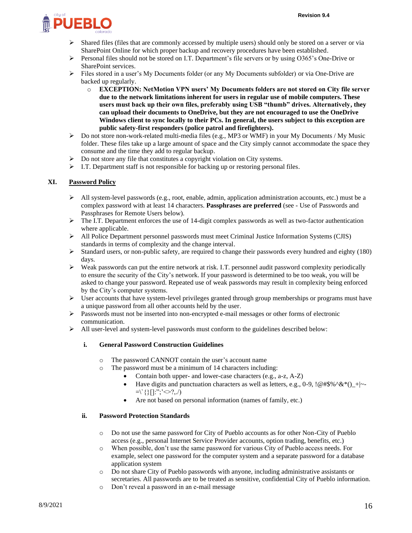

- $\triangleright$  Shared files (files that are commonly accessed by multiple users) should only be stored on a server or via SharePoint Online for which proper backup and recovery procedures have been established.
- ➢ Personal files should not be stored on I.T. Department's file servers or by using O365's One-Drive or SharePoint services.
- ➢ Files stored in a user's My Documents folder (or any My Documents subfolder) or via One-Drive are backed up regularly.
	- o **EXCEPTION: NetMotion VPN users' My Documents folders are not stored on City file server due to the network limitations inherent for users in regular use of mobile computers. These users must back up their own files, preferably using USB "thumb" drives. Alternatively, they can upload their documents to OneDrive, but they are not encouraged to use the OneDrive Windows client to sync locally to their PCs. In general, the users subject to this exception are public safety-first responders (police patrol and firefighters).**
- $\triangleright$  Do not store non-work-related multi-media files (e.g., MP3 or WMF) in your My Documents / My Music folder. These files take up a large amount of space and the City simply cannot accommodate the space they consume and the time they add to regular backup.
- ➢ Do not store any file that constitutes a copyright violation on City systems.
- $\triangleright$  I.T. Department staff is not responsible for backing up or restoring personal files.

#### <span id="page-15-0"></span>**XI. Password Policy**

- $\triangleright$  All system-level passwords (e.g., root, enable, admin, application administration accounts, etc.) must be a complex password with at least 14 characters. **Passphrases are preferred** (see - Use of Passwords and Passphrases for Remote Users below).
- $\triangleright$  The I.T. Department enforces the use of 14-digit complex passwords as well as two-factor authentication where applicable.
- ➢ All Police Department personnel passwords must meet Criminal Justice Information Systems (CJIS) standards in terms of complexity and the change interval.
- $\triangleright$  Standard users, or non-public safety, are required to change their passwords every hundred and eighty (180) days.
- $\triangleright$  Weak passwords can put the entire network at risk. I.T. personnel audit password complexity periodically to ensure the security of the City's network. If your password is determined to be too weak, you will be asked to change your password. Repeated use of weak passwords may result in complexity being enforced by the City's computer systems.
- $\triangleright$  User accounts that have system-level privileges granted through group memberships or programs must have a unique password from all other accounts held by the user.
- ➢ Passwords must not be inserted into non-encrypted e-mail messages or other forms of electronic communication.
- ➢ All user-level and system-level passwords must conform to the guidelines described below:

#### **i. General Password Construction Guidelines**

- o The password CANNOT contain the user's account name
- The password must be a minimum of 14 characters including:
	- Contain both upper- and lower-case characters (e.g., a-z, A-Z)
	- Have digits and punctuation characters as well as letters, e.g., 0-9,  $\lbrack \mathcal{Q} \rbrack \rightarrow \mathcal{E}^* \rbrack$   $\rightarrow$  $=\left\{ \left\{ \left[ \left[ \left[ : \infty \right] : \infty \right] : \infty \right] \right\} \right\}$
	- Are not based on personal information (names of family, etc.)

#### **ii. Password Protection Standards**

- o Do not use the same password for City of Pueblo accounts as for other Non-City of Pueblo access (e.g., personal Internet Service Provider accounts, option trading, benefits, etc.)
- o When possible, don't use the same password for various City of Pueblo access needs. For example, select one password for the computer system and a separate password for a database application system
- o Do not share City of Pueblo passwords with anyone, including administrative assistants or secretaries. All passwords are to be treated as sensitive, confidential City of Pueblo information.
- o Don't reveal a password in an e-mail message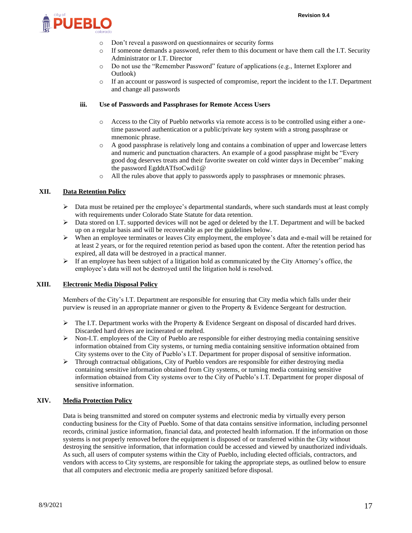

- o Don't reveal a password on questionnaires or security forms
- If someone demands a password, refer them to this document or have them call the I.T. Security Administrator or I.T. Director
- o Do not use the "Remember Password" feature of applications (e.g., Internet Explorer and Outlook)
- o If an account or password is suspected of compromise, report the incident to the I.T. Department and change all passwords

#### **iii. Use of Passwords and Passphrases for Remote Access Users**

- o Access to the City of Pueblo networks via remote access is to be controlled using either a onetime password authentication or a public/private key system with a strong passphrase or mnemonic phrase.
- o A good passphrase is relatively long and contains a combination of upper and lowercase letters and numeric and punctuation characters. An example of a good passphrase might be "Every good dog deserves treats and their favorite sweater on cold winter days in December" making the password EgddtATfsoCwdi1@
- o All the rules above that apply to passwords apply to passphrases or mnemonic phrases.

#### <span id="page-16-0"></span>**XII. Data Retention Policy**

- ➢ Data must be retained per the employee's departmental standards, where such standards must at least comply with requirements under Colorado State Statute for data retention.
- ➢ Data stored on I.T. supported devices will not be aged or deleted by the I.T. Department and will be backed up on a regular basis and will be recoverable as per the guidelines below.
- $\triangleright$  When an employee terminates or leaves City employment, the employee's data and e-mail will be retained for at least 2 years, or for the required retention period as based upon the content. After the retention period has expired, all data will be destroyed in a practical manner.
- $\triangleright$  If an employee has been subject of a litigation hold as communicated by the City Attorney's office, the employee's data will not be destroyed until the litigation hold is resolved.

#### <span id="page-16-1"></span>**XIII. Electronic Media Disposal Policy**

Members of the City's I.T. Department are responsible for ensuring that City media which falls under their purview is reused in an appropriate manner or given to the Property & Evidence Sergeant for destruction.

- $\triangleright$  The I.T. Department works with the Property & Evidence Sergeant on disposal of discarded hard drives. Discarded hard drives are incinerated or melted.
- $\triangleright$  Non-I.T. employees of the City of Pueblo are responsible for either destroying media containing sensitive information obtained from City systems, or turning media containing sensitive information obtained from City systems over to the City of Pueblo's I.T. Department for proper disposal of sensitive information.
- ➢ Through contractual obligations, City of Pueblo vendors are responsible for either destroying media containing sensitive information obtained from City systems, or turning media containing sensitive information obtained from City systems over to the City of Pueblo's I.T. Department for proper disposal of sensitive information.

#### <span id="page-16-2"></span>**XIV. Media Protection Policy**

Data is being transmitted and stored on computer systems and electronic media by virtually every person conducting business for the City of Pueblo. Some of that data contains sensitive information, including personnel records, criminal justice information, financial data, and protected health information. If the information on those systems is not properly removed before the equipment is disposed of or transferred within the City without destroying the sensitive information, that information could be accessed and viewed by unauthorized individuals. As such, all users of computer systems within the City of Pueblo, including elected officials, contractors, and vendors with access to City systems, are responsible for taking the appropriate steps, as outlined below to ensure that all computers and electronic media are properly sanitized before disposal.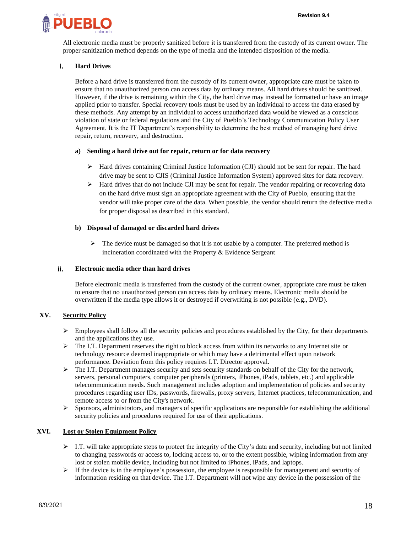

All electronic media must be properly sanitized before it is transferred from the custody of its current owner. The proper sanitization method depends on the type of media and the intended disposition of the media.

#### i. **Hard Drives**

Before a hard drive is transferred from the custody of its current owner, appropriate care must be taken to ensure that no unauthorized person can access data by ordinary means. All hard drives should be sanitized. However, if the drive is remaining within the City, the hard drive may instead be formatted or have an image applied prior to transfer. Special recovery tools must be used by an individual to access the data erased by these methods. Any attempt by an individual to access unauthorized data would be viewed as a conscious violation of state or federal regulations and the City of Pueblo's Technology Communication Policy User Agreement. It is the IT Department's responsibility to determine the best method of managing hard drive repair, return, recovery, and destruction.

#### **a) Sending a hard drive out for repair, return or for data recovery**

- ➢ Hard drives containing Criminal Justice Information (CJI) should not be sent for repair. The hard drive may be sent to CJIS (Criminal Justice Information System) approved sites for data recovery.
- ➢ Hard drives that do not include CJI may be sent for repair. The vendor repairing or recovering data on the hard drive must sign an appropriate agreement with the City of Pueblo, ensuring that the vendor will take proper care of the data. When possible, the vendor should return the defective media for proper disposal as described in this standard.

#### **b) Disposal of damaged or discarded hard drives**

 $\triangleright$  The device must be damaged so that it is not usable by a computer. The preferred method is incineration coordinated with the Property & Evidence Sergeant

#### ii. **Electronic media other than hard drives**

Before electronic media is transferred from the custody of the current owner, appropriate care must be taken to ensure that no unauthorized person can access data by ordinary means. Electronic media should be overwritten if the media type allows it or destroyed if overwriting is not possible (e.g., DVD).

#### <span id="page-17-0"></span>**XV. Security Policy**

- $\triangleright$  Employees shall follow all the security policies and procedures established by the City, for their departments and the applications they use.
- $\triangleright$  The I.T. Department reserves the right to block access from within its networks to any Internet site or technology resource deemed inappropriate or which may have a detrimental effect upon network performance. Deviation from this policy requires I.T. Director approval.
- $\triangleright$  The I.T. Department manages security and sets security standards on behalf of the City for the network, servers, personal computers, computer peripherals (printers, iPhones, iPads, tablets, etc.) and applicable telecommunication needs. Such management includes adoption and implementation of policies and security procedures regarding user IDs, passwords, firewalls, proxy servers, Internet practices, telecommunication, and remote access to or from the City's network.
- $\triangleright$  Sponsors, administrators, and managers of specific applications are responsible for establishing the additional security policies and procedures required for use of their applications.

#### <span id="page-17-1"></span>**XVI. Lost or Stolen Equipment Policy**

- ➢ I.T. will take appropriate steps to protect the integrity of the City's data and security, including but not limited to changing passwords or access to, locking access to, or to the extent possible, wiping information from any lost or stolen mobile device, including but not limited to iPhones, iPads, and laptops.
- $\triangleright$  If the device is in the employee's possession, the employee is responsible for management and security of information residing on that device. The I.T. Department will not wipe any device in the possession of the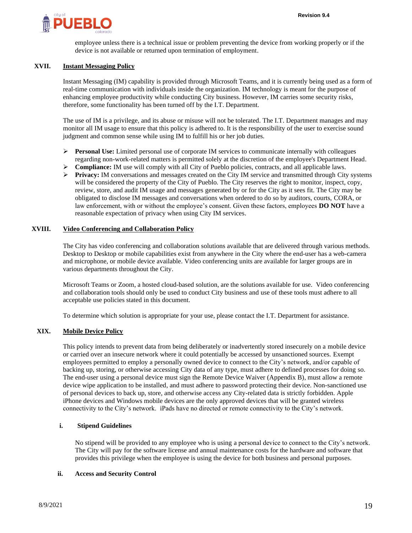

employee unless there is a technical issue or problem preventing the device from working properly or if the device is not available or returned upon termination of employment.

#### <span id="page-18-0"></span>**XVII. Instant Messaging Policy**

Instant Messaging (IM) capability is provided through Microsoft Teams, and it is currently being used as a form of real-time communication with individuals inside the organization. IM technology is meant for the purpose of enhancing employee productivity while conducting City business. However, IM carries some security risks, therefore, some functionality has been turned off by the I.T. Department.

The use of IM is a privilege, and its abuse or misuse will not be tolerated. The I.T. Department manages and may monitor all IM usage to ensure that this policy is adhered to. It is the responsibility of the user to exercise sound judgment and common sense while using IM to fulfill his or her job duties.

- ➢ **Personal Use:** Limited personal use of corporate IM services to communicate internally with colleagues regarding non-work-related matters is permitted solely at the discretion of the employee's Department Head.
- ➢ **Compliance:** IM use will comply with all City of Pueblo policies, contracts, and all applicable laws.
- ➢ **Privacy:** IM conversations and messages created on the City IM service and transmitted through City systems will be considered the property of the City of Pueblo. The City reserves the right to monitor, inspect, copy, review, store, and audit IM usage and messages generated by or for the City as it sees fit. The City may be obligated to disclose IM messages and conversations when ordered to do so by auditors, courts, CORA, or law enforcement, with or without the employee's consent. Given these factors, employees **DO NOT** have a reasonable expectation of privacy when using City IM services.

#### <span id="page-18-1"></span>**XVIII. Video Conferencing and Collaboration Policy**

The City has video conferencing and collaboration solutions available that are delivered through various methods. Desktop to Desktop or mobile capabilities exist from anywhere in the City where the end-user has a web-camera and microphone, or mobile device available. Video conferencing units are available for larger groups are in various departments throughout the City.

Microsoft Teams or Zoom, a hosted cloud-based solution, are the solutions available for use. Video conferencing and collaboration tools should only be used to conduct City business and use of these tools must adhere to all acceptable use policies stated in this document.

To determine which solution is appropriate for your use, please contact the I.T. Department for assistance.

#### <span id="page-18-2"></span>**XIX. Mobile Device Policy**

This policy intends to prevent data from being deliberately or inadvertently stored insecurely on a mobile device or carried over an insecure network where it could potentially be accessed by unsanctioned sources. Exempt employees permitted to employ a personally owned device to connect to the City's network, and/or capable of backing up, storing, or otherwise accessing City data of any type, must adhere to defined processes for doing so. The end-user using a personal device must sign the Remote Device Waiver (Appendix B), must allow a remote device wipe application to be installed, and must adhere to password protecting their device. Non-sanctioned use of personal devices to back up, store, and otherwise access any City-related data is strictly forbidden. Apple iPhone devices and Windows mobile devices are the only approved devices that will be granted wireless connectivity to the City's network. iPads have no directed or remote connectivity to the City's network.

#### **i. Stipend Guidelines**

No stipend will be provided to any employee who is using a personal device to connect to the City's network. The City will pay for the software license and annual maintenance costs for the hardware and software that provides this privilege when the employee is using the device for both business and personal purposes.

#### **ii. Access and Security Control**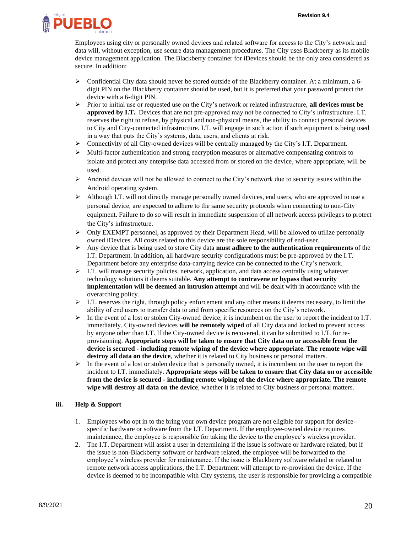

Employees using city or personally owned devices and related software for access to the City's network and data will, without exception, use secure data management procedures. The City uses Blackberry as its mobile device management application. The Blackberry container for iDevices should be the only area considered as secure. In addition:

- $\triangleright$  Confidential City data should never be stored outside of the Blackberry container. At a minimum, a 6digit PIN on the Blackberry container should be used, but it is preferred that your password protect the device with a 6-digit PIN.
- ➢ Prior to initial use or requested use on the City's network or related infrastructure, **all devices must be approved by I.T.** Devices that are not pre-approved may not be connected to City's infrastructure. I.T. reserves the right to refuse, by physical and non-physical means, the ability to connect personal devices to City and City-connected infrastructure. I.T. will engage in such action if such equipment is being used in a way that puts the City's systems, data, users, and clients at risk.
- $\triangleright$  Connectivity of all City-owned devices will be centrally managed by the City's I.T. Department.
- $\triangleright$  Multi-factor authentication and strong encryption measures or alternative compensating controls to isolate and protect any enterprise data accessed from or stored on the device, where appropriate, will be used.
- $\triangleright$  Android devices will not be allowed to connect to the City's network due to security issues within the Android operating system.
- ➢ Although I.T. will not directly manage personally owned devices, end users, who are approved to use a personal device, are expected to adhere to the same security protocols when connecting to non-City equipment. Failure to do so will result in immediate suspension of all network access privileges to protect the City's infrastructure.
- $\triangleright$  Only EXEMPT personnel, as approved by their Department Head, will be allowed to utilize personally owned iDevices. All costs related to this device are the sole responsibility of end-user.
- ➢ Any device that is being used to store City data **must adhere to the authentication requirements** of the I.T. Department. In addition, all hardware security configurations must be pre-approved by the I.T. Department before any enterprise data-carrying device can be connected to the City's network.
- $\triangleright$  I.T. will manage security policies, network, application, and data access centrally using whatever technology solutions it deems suitable. **Any attempt to contravene or bypass that security implementation will be deemed an intrusion attempt** and will be dealt with in accordance with the overarching policy.
- $\triangleright$  I.T. reserves the right, through policy enforcement and any other means it deems necessary, to limit the ability of end users to transfer data to and from specific resources on the City's network.
- $\triangleright$  In the event of a lost or stolen City-owned device, it is incumbent on the user to report the incident to I.T. immediately. City-owned devices **will be remotely wiped** of all City data and locked to prevent access by anyone other than I.T. If the City-owned device is recovered, it can be submitted to I.T. for reprovisioning. **Appropriate steps will be taken to ensure that City data on or accessible from the device is secured - including remote wiping of the device where appropriate. The remote wipe will destroy all data on the device**, whether it is related to City business or personal matters.
- $\triangleright$  In the event of a lost or stolen device that is personally owned, it is incumbent on the user to report the incident to I.T. immediately. **Appropriate steps will be taken to ensure that City data on or accessible from the device is secured - including remote wiping of the device where appropriate. The remote wipe will destroy all data on the device**, whether it is related to City business or personal matters.

#### **iii. Help & Support**

- 1. Employees who opt in to the bring your own device program are not eligible for support for devicespecific hardware or software from the I.T. Department. If the employee-owned device requires maintenance, the employee is responsible for taking the device to the employee's wireless provider.
- 2. The I.T. Department will assist a user in determining if the issue is software or hardware related, but if the issue is non-Blackberry software or hardware related, the employee will be forwarded to the employee's wireless provider for maintenance. If the issue is Blackberry software related or related to remote network access applications, the I.T. Department will attempt to re-provision the device. If the device is deemed to be incompatible with City systems, the user is responsible for providing a compatible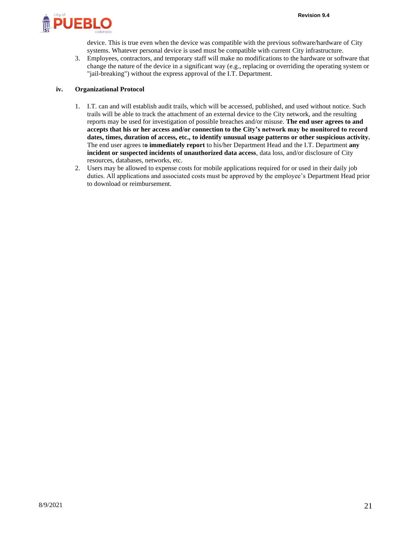

device. This is true even when the device was compatible with the previous software/hardware of City systems. Whatever personal device is used must be compatible with current City infrastructure.

3. Employees, contractors, and temporary staff will make no modifications to the hardware or software that change the nature of the device in a significant way (e.g., replacing or overriding the operating system or "jail-breaking") without the express approval of the I.T. Department.

#### **iv. Organizational Protocol**

- 1. I.T. can and will establish audit trails, which will be accessed, published, and used without notice. Such trails will be able to track the attachment of an external device to the City network, and the resulting reports may be used for investigation of possible breaches and/or misuse. **The end user agrees to and accepts that his or her access and/or connection to the City's network may be monitored to record dates, times, duration of access, etc., to identify unusual usage patterns or other suspicious activity.** The end user agrees t**o immediately report** to his/her Department Head and the I.T. Department **any incident or suspected incidents of unauthorized data access**, data loss, and/or disclosure of City resources, databases, networks, etc.
- 2. Users may be allowed to expense costs for mobile applications required for or used in their daily job duties. All applications and associated costs must be approved by the employee's Department Head prior to download or reimbursement.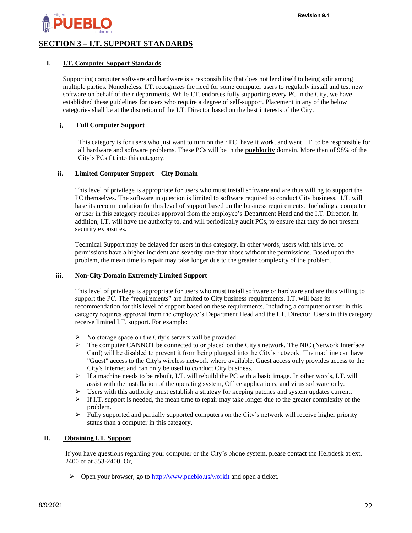

# <span id="page-21-0"></span>**SECTION 3 – I.T. SUPPORT STANDARDS**

## <span id="page-21-1"></span>**I. I.T. Computer Support Standards**

Supporting computer software and hardware is a responsibility that does not lend itself to being split among multiple parties. Nonetheless, I.T. recognizes the need for some computer users to regularly install and test new software on behalf of their departments. While I.T. endorses fully supporting every PC in the City, we have established these guidelines for users who require a degree of self-support. Placement in any of the below categories shall be at the discretion of the I.T. Director based on the best interests of the City.

#### i. **Full Computer Support**

This category is for users who just want to turn on their PC, have it work, and want I.T. to be responsible for all hardware and software problems. These PCs will be in the **pueblocity** domain. More than of 98% of the City's PCs fit into this category.

#### ii. **Limited Computer Support – City Domain**

This level of privilege is appropriate for users who must install software and are thus willing to support the PC themselves. The software in question is limited to software required to conduct City business. I.T. will base its recommendation for this level of support based on the business requirements. Including a computer or user in this category requires approval from the employee's Department Head and the I.T. Director. In addition, I.T. will have the authority to, and will periodically audit PCs, to ensure that they do not present security exposures.

Technical Support may be delayed for users in this category. In other words, users with this level of permissions have a higher incident and severity rate than those without the permissions. Based upon the problem, the mean time to repair may take longer due to the greater complexity of the problem.

#### iii. **Non-City Domain Extremely Limited Support**

This level of privilege is appropriate for users who must install software or hardware and are thus willing to support the PC. The "requirements" are limited to City business requirements. I.T. will base its recommendation for this level of support based on these requirements. Including a computer or user in this category requires approval from the employee's Department Head and the I.T. Director. Users in this category receive limited I.T. support. For example:

- ➢ No storage space on the City's servers will be provided.
- $\triangleright$  The computer CANNOT be connected to or placed on the City's network. The NIC (Network Interface Card) will be disabled to prevent it from being plugged into the City's network. The machine can have "Guest" access to the City's wireless network where available. Guest access only provides access to the City's Internet and can only be used to conduct City business.
- $\triangleright$  If a machine needs to be rebuilt, I.T. will rebuild the PC with a basic image. In other words, I.T. will assist with the installation of the operating system, Office applications, and virus software only.
- $\triangleright$  Users with this authority must establish a strategy for keeping patches and system updates current.
- $\triangleright$  If I.T. support is needed, the mean time to repair may take longer due to the greater complexity of the problem.
- $\triangleright$  Fully supported and partially supported computers on the City's network will receive higher priority status than a computer in this category.

#### **II. Obtaining I.T. Support**

<span id="page-21-2"></span>If you have questions regarding your computer or the City's phone system, please contact the Helpdesk at ext. 2400 or at 553-2400. Or,

➢ Open your browser, go t[o http://www.pueblo.us/workit](http://www.pueblo.us/workit) and open a ticket.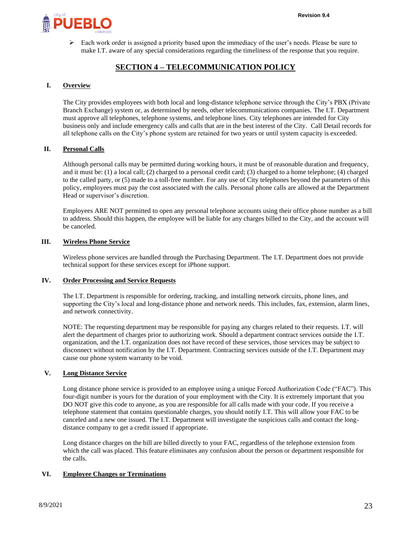

 $\triangleright$  Each work order is assigned a priority based upon the immediacy of the user's needs. Please be sure to make I.T. aware of any special considerations regarding the timeliness of the response that you require.

## **SECTION 4 – TELECOMMUNICATION POLICY**

#### <span id="page-22-1"></span><span id="page-22-0"></span>**I. Overview**

The City provides employees with both local and long-distance telephone service through the City's PBX (Private Branch Exchange) system or, as determined by needs, other telecommunications companies. The I.T. Department must approve all telephones, telephone systems, and telephone lines. City telephones are intended for City business only and include emergency calls and calls that are in the best interest of the City. Call Detail records for all telephone calls on the City's phone system are retained for two years or until system capacity is exceeded.

#### <span id="page-22-2"></span>**II. Personal Calls**

Although personal calls may be permitted during working hours, it must be of reasonable duration and frequency, and it must be: (1) a local call; (2) charged to a personal credit card; (3) charged to a home telephone; (4) charged to the called party, or (5) made to a toll-free number. For any use of City telephones beyond the parameters of this policy, employees must pay the cost associated with the calls. Personal phone calls are allowed at the Department Head or supervisor's discretion.

Employees ARE NOT permitted to open any personal telephone accounts using their office phone number as a bill to address. Should this happen, the employee will be liable for any charges billed to the City, and the account will be canceled.

#### <span id="page-22-3"></span>**III. Wireless Phone Service**

Wireless phone services are handled through the Purchasing Department. The I.T. Department does not provide technical support for these services except for iPhone support.

#### <span id="page-22-4"></span>**IV. Order Processing and Service Requests**

The I.T. Department is responsible for ordering, tracking, and installing network circuits, phone lines, and supporting the City's local and long-distance phone and network needs. This includes, fax, extension, alarm lines, and network connectivity.

NOTE: The requesting department may be responsible for paying any charges related to their requests. I.T. will alert the department of charges prior to authorizing work. Should a department contract services outside the I.T. organization, and the I.T. organization does not have record of these services, those services may be subject to disconnect without notification by the I.T. Department. Contracting services outside of the I.T. Department may cause our phone system warranty to be void.

#### <span id="page-22-5"></span>**V. Long Distance Service**

Long distance phone service is provided to an employee using a unique Forced Authorization Code ("FAC"). This four-digit number is yours for the duration of your employment with the City. It is extremely important that you DO NOT give this code to anyone, as you are responsible for all calls made with your code. If you receive a telephone statement that contains questionable charges, you should notify I.T. This will allow your FAC to be canceled and a new one issued. The I.T. Department will investigate the suspicious calls and contact the longdistance company to get a credit issued if appropriate.

Long distance charges on the bill are billed directly to your FAC, regardless of the telephone extension from which the call was placed. This feature eliminates any confusion about the person or department responsible for the calls.

#### <span id="page-22-6"></span>**VI. Employee Changes or Terminations**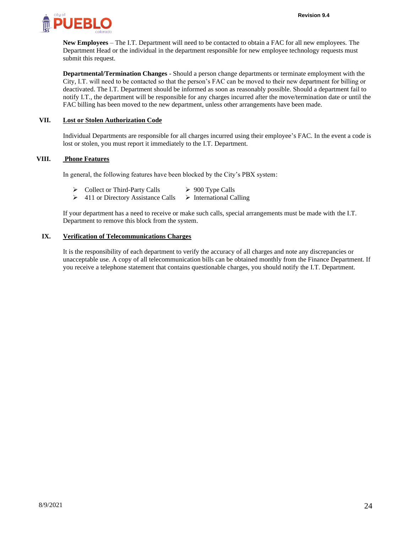

**New Employees** – The I.T. Department will need to be contacted to obtain a FAC for all new employees. The Department Head or the individual in the department responsible for new employee technology requests must submit this request.

**Departmental/Termination Changes** - Should a person change departments or terminate employment with the City, I.T. will need to be contacted so that the person's FAC can be moved to their new department for billing or deactivated. The I.T. Department should be informed as soon as reasonably possible. Should a department fail to notify I.T., the department will be responsible for any charges incurred after the move/termination date or until the FAC billing has been moved to the new department, unless other arrangements have been made.

#### <span id="page-23-0"></span>**VII. Lost or Stolen Authorization Code**

Individual Departments are responsible for all charges incurred using their employee's FAC. In the event a code is lost or stolen, you must report it immediately to the I.T. Department.

#### **VIII. Phone Features**

<span id="page-23-1"></span>In general, the following features have been blocked by the City's PBX system:

| ➤ | Collect or Third-Party Calls      | $\triangleright$ 900 Type Calls        |  |
|---|-----------------------------------|----------------------------------------|--|
|   | 411 or Directory Assistance Calls | $\triangleright$ International Calling |  |

If your department has a need to receive or make such calls, special arrangements must be made with the I.T. Department to remove this block from the system.

#### <span id="page-23-2"></span>**IX. Verification of Telecommunications Charges**

It is the responsibility of each department to verify the accuracy of all charges and note any discrepancies or unacceptable use. A copy of all telecommunication bills can be obtained monthly from the Finance Department. If you receive a telephone statement that contains questionable charges, you should notify the I.T. Department.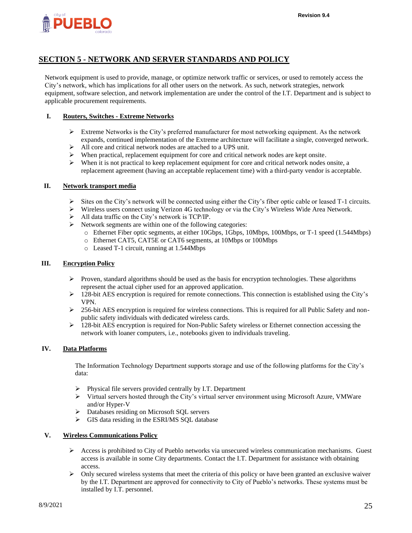

## <span id="page-24-0"></span>**SECTION 5 - NETWORK AND SERVER STANDARDS AND POLICY**

Network equipment is used to provide, manage, or optimize network traffic or services, or used to remotely access the City's network, which has implications for all other users on the network. As such, network strategies, network equipment, software selection, and network implementation are under the control of the I.T. Department and is subject to applicable procurement requirements.

#### <span id="page-24-1"></span>**I. Routers, Switches - Extreme Networks**

- ➢ Extreme Networks is the City's preferred manufacturer for most networking equipment. As the network expands, continued implementation of the Extreme architecture will facilitate a single, converged network.
- ➢ All core and critical network nodes are attached to a UPS unit.
- ➢ When practical, replacement equipment for core and critical network nodes are kept onsite.
- $\triangleright$  When it is not practical to keep replacement equipment for core and critical network nodes onsite, a replacement agreement (having an acceptable replacement time) with a third-party vendor is acceptable.

#### <span id="page-24-2"></span>**II. Network transport media**

- ➢ Sites on the City's network will be connected using either the City's fiber optic cable or leased T-1 circuits.
- ➢ Wireless users connect using Verizon 4G technology or via the City's Wireless Wide Area Network.
- ➢ All data traffic on the City's network is TCP/IP.
- ➢ Network segments are within one of the following categories:
	- o Ethernet Fiber optic segments, at either 10Gbps, 1Gbps, 10Mbps, 100Mbps, or T-1 speed (1.544Mbps)
	- o Ethernet CAT5, CAT5E or CAT6 segments, at 10Mbps or 100Mbps
	- o Leased T-1 circuit, running at 1.544Mbps

#### <span id="page-24-3"></span>**III. Encryption Policy**

- $\triangleright$  Proven, standard algorithms should be used as the basis for encryption technologies. These algorithms represent the actual cipher used for an approved application.
- $\geq 128$ -bit AES encryption is required for remote connections. This connection is established using the City's VPN.
- $\geq$  256-bit AES encryption is required for wireless connections. This is required for all Public Safety and nonpublic safety individuals with dedicated wireless cards.
- $\geq 128$ -bit AES encryption is required for Non-Public Safety wireless or Ethernet connection accessing the network with loaner computers, i.e., notebooks given to individuals traveling.

#### <span id="page-24-4"></span>**IV. Data Platforms**

The Information Technology Department supports storage and use of the following platforms for the City's data:

- ➢ Physical file servers provided centrally by I.T. Department
- ➢ Virtual servers hosted through the City's virtual server environment using Microsoft Azure, VMWare and/or Hyper-V
- ➢ Databases residing on Microsoft SQL servers
- ➢ GIS data residing in the ESRI/MS SQL database

#### <span id="page-24-5"></span>**V. Wireless Communications Policy**

- ➢ Access is prohibited to City of Pueblo networks via unsecured wireless communication mechanisms. Guest access is available in some City departments. Contact the I.T. Department for assistance with obtaining access.
- $\triangleright$  Only secured wireless systems that meet the criteria of this policy or have been granted an exclusive waiver by the I.T. Department are approved for connectivity to City of Pueblo's networks. These systems must be installed by I.T. personnel.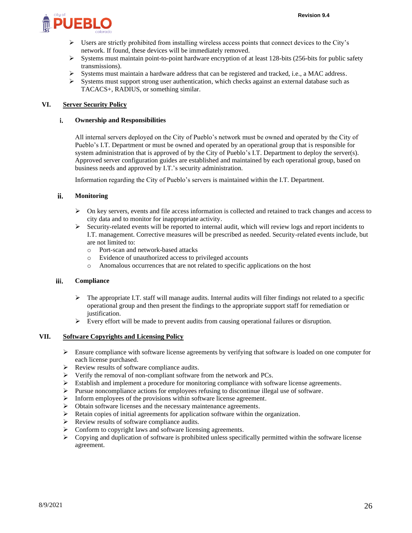

- $\triangleright$  Users are strictly prohibited from installing wireless access points that connect devices to the City's network. If found, these devices will be immediately removed.
- $\triangleright$  Systems must maintain point-to-point hardware encryption of at least 128-bits (256-bits for public safety transmissions).
- ➢ Systems must maintain a hardware address that can be registered and tracked, i.e., a MAC address.
- $\triangleright$  Systems must support strong user authentication, which checks against an external database such as TACACS+, RADIUS, or something similar.

#### <span id="page-25-0"></span>**VI. Server Security Policy**

#### i. **Ownership and Responsibilities**

All internal servers deployed on the City of Pueblo's network must be owned and operated by the City of Pueblo's I.T. Department or must be owned and operated by an operational group that is responsible for system administration that is approved of by the City of Pueblo's I.T. Department to deploy the server(s). Approved server configuration guides are established and maintained by each operational group, based on business needs and approved by I.T.'s security administration.

Information regarding the City of Pueblo's servers is maintained within the I.T. Department.

#### ii. **Monitoring**

- ➢ On key servers, events and file access information is collected and retained to track changes and access to city data and to monitor for inappropriate activity.
- ➢ Security-related events will be reported to internal audit, which will review logs and report incidents to I.T. management. Corrective measures will be prescribed as needed. Security-related events include, but are not limited to:
	- o Port-scan and network-based attacks
	- o Evidence of unauthorized access to privileged accounts
	- o Anomalous occurrences that are not related to specific applications on the host

#### iii. **Compliance**

- $\triangleright$  The appropriate I.T. staff will manage audits. Internal audits will filter findings not related to a specific operational group and then present the findings to the appropriate support staff for remediation or justification.
- $\triangleright$  Every effort will be made to prevent audits from causing operational failures or disruption.

#### <span id="page-25-1"></span>**VII. Software Copyrights and Licensing Policy**

- ➢ Ensure compliance with software license agreements by verifying that software is loaded on one computer for each license purchased.
- ➢ Review results of software compliance audits.
- ➢ Verify the removal of non-compliant software from the network and PCs.
- $\triangleright$  Establish and implement a procedure for monitoring compliance with software license agreements.
- $\triangleright$  Pursue noncompliance actions for employees refusing to discontinue illegal use of software.
- ➢ Inform employees of the provisions within software license agreement.
- ➢ Obtain software licenses and the necessary maintenance agreements.
- ➢ Retain copies of initial agreements for application software within the organization.
- ➢ Review results of software compliance audits.
- ➢ Conform to copyright laws and software licensing agreements.
- $\triangleright$  Copying and duplication of software is prohibited unless specifically permitted within the software license agreement.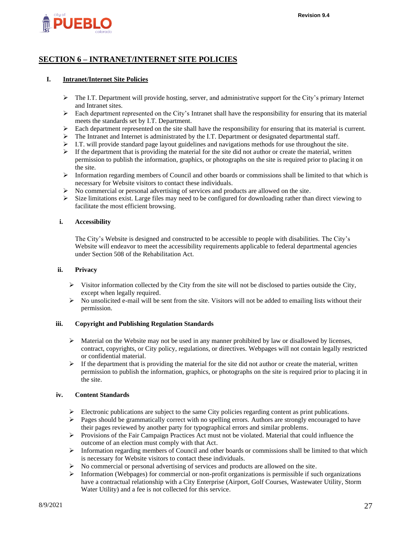

# <span id="page-26-0"></span>**SECTION 6 – INTRANET/INTERNET SITE POLICIES**

#### <span id="page-26-1"></span>**I. Intranet/Internet Site Policies**

- $\triangleright$  The I.T. Department will provide hosting, server, and administrative support for the City's primary Internet and Intranet sites.
- ➢ Each department represented on the City's Intranet shall have the responsibility for ensuring that its material meets the standards set by I.T. Department.
- ➢ Each department represented on the site shall have the responsibility for ensuring that its material is current.
- $\triangleright$  The Intranet and Internet is administrated by the I.T. Department or designated departmental staff.
- $\triangleright$  I.T. will provide standard page layout guidelines and navigations methods for use throughout the site.
- $\triangleright$  If the department that is providing the material for the site did not author or create the material, written permission to publish the information, graphics, or photographs on the site is required prior to placing it on the site.
- $\triangleright$  Information regarding members of Council and other boards or commissions shall be limited to that which is necessary for Website visitors to contact these individuals.
- ➢ No commercial or personal advertising of services and products are allowed on the site.
- $\triangleright$  Size limitations exist. Large files may need to be configured for downloading rather than direct viewing to facilitate the most efficient browsing.

#### **i. Accessibility**

The City's Website is designed and constructed to be accessible to people with disabilities. The City's Website will endeavor to meet the accessibility requirements applicable to federal departmental agencies under Section 508 of the Rehabilitation Act.

#### **ii. Privacy**

- $\triangleright$  Visitor information collected by the City from the site will not be disclosed to parties outside the City, except when legally required.
- $\triangleright$  No unsolicited e-mail will be sent from the site. Visitors will not be added to emailing lists without their permission.

#### **iii. Copyright and Publishing Regulation Standards**

- $\triangleright$  Material on the Website may not be used in any manner prohibited by law or disallowed by licenses, contract, copyrights, or City policy, regulations, or directives. Webpages will not contain legally restricted or confidential material.
- $\triangleright$  If the department that is providing the material for the site did not author or create the material, written permission to publish the information, graphics, or photographs on the site is required prior to placing it in the site.

#### **iv. Content Standards**

- $\triangleright$  Electronic publications are subject to the same City policies regarding content as print publications.
- $\triangleright$  Pages should be grammatically correct with no spelling errors. Authors are strongly encouraged to have their pages reviewed by another party for typographical errors and similar problems.
- ➢ Provisions of the Fair Campaign Practices Act must not be violated. Material that could influence the outcome of an election must comply with that Act.
- $\triangleright$  Information regarding members of Council and other boards or commissions shall be limited to that which is necessary for Website visitors to contact these individuals.
- ➢ No commercial or personal advertising of services and products are allowed on the site.
- $\triangleright$  Information (Webpages) for commercial or non-profit organizations is permissible if such organizations have a contractual relationship with a City Enterprise (Airport, Golf Courses, Wastewater Utility, Storm Water Utility) and a fee is not collected for this service.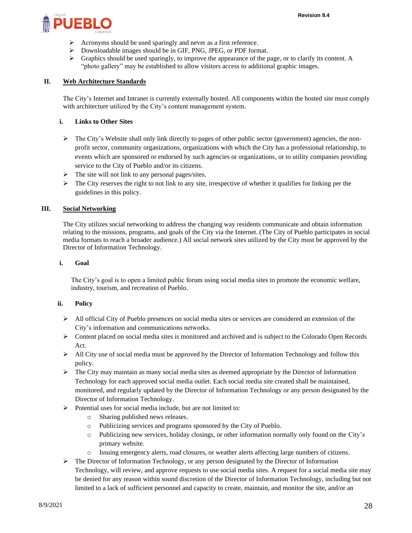

- ➢ Acronyms should be used sparingly and never as a first reference.
- ➢ Downloadable images should be in GIF, PNG, JPEG, or PDF format.
- $\triangleright$  Graphics should be used sparingly, to improve the appearance of the page, or to clarify its content. A "photo gallery" may be established to allow visitors access to additional graphic images.

#### <span id="page-27-0"></span>**II. Web Architecture Standards**

The City's Internet and Intranet is currently externally hosted. All components within the hosted site must comply with architecture utilized by the City's content management system.

#### **i. Links to Other Sites**

- $\triangleright$  The City's Website shall only link directly to pages of other public sector (government) agencies, the nonprofit sector, community organizations, organizations with which the City has a professional relationship, to events which are sponsored or endorsed by such agencies or organizations, or to utility companies providing service to the City of Pueblo and/or its citizens.
- ➢ The site will not link to any personal pages/sites.
- $\triangleright$  The City reserves the right to not link to any site, irrespective of whether it qualifies for linking per the guidelines in this policy.

#### <span id="page-27-1"></span>**III. Social Networking**

The City utilizes social networking to address the changing way residents communicate and obtain information relating to the missions, programs, and goals of the City via the Internet. (The City of Pueblo participates in social media formats to reach a broader audience.) All social network sites utilized by the City must be approved by the Director of Information Technology.

#### **i. Goal**

The City's goal is to open a limited public forum using social media sites to promote the economic welfare, industry, tourism, and recreation of Pueblo.

#### **ii. Policy**

- ➢ All official City of Pueblo presences on social media sites or services are considered an extension of the City's information and communications networks.
- ➢ Content placed on social media sites is monitored and archived and is subject to the Colorado Open Records Act.
- ➢ All City use of social media must be approved by the Director of Information Technology and follow this policy.
- ➢ The City may maintain as many social media sites as deemed appropriate by the Director of Information Technology for each approved social media outlet. Each social media site created shall be maintained, monitored, and regularly updated by the Director of Information Technology or any person designated by the Director of Information Technology.
- ➢ Potential uses for social media include, but are not limited to:
	- o Sharing published news releases.
	- o Publicizing services and programs sponsored by the City of Pueblo.
	- o Publicizing new services, holiday closings, or other information normally only found on the City's primary website.
	- o Issuing emergency alerts, road closures, or weather alerts affecting large numbers of citizens.
- $\triangleright$  The Director of Information Technology, or any person designated by the Director of Information Technology, will review, and approve requests to use social media sites. A request for a social media site may be denied for any reason within sound discretion of the Director of Information Technology, including but not limited to a lack of sufficient personnel and capacity to create, maintain, and monitor the site, and/or an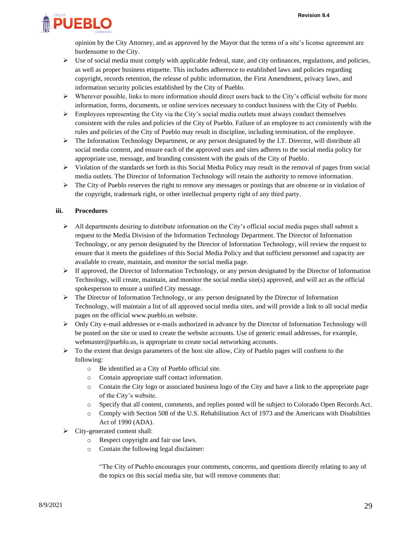

opinion by the City Attorney, and as approved by the Mayor that the terms of a site's license agreement are burdensome to the City.

- ➢ Use of social media must comply with applicable federal, state, and city ordinances, regulations, and policies, as well as proper business etiquette. This includes adherence to established laws and policies regarding copyright, records retention, the release of public information, the First Amendment, privacy laws, and information security policies established by the City of Pueblo.
- $\triangleright$  Wherever possible, links to more information should direct users back to the City's official website for more information, forms, documents, or online services necessary to conduct business with the City of Pueblo.
- $\triangleright$  Employees representing the City via the City's social media outlets must always conduct themselves consistent with the rules and policies of the City of Pueblo. Failure of an employee to act consistently with the rules and policies of the City of Pueblo may result in discipline, including termination, of the employee.
- ➢ The Information Technology Department, or any person designated by the I.T. Director, will distribute all social media content, and ensure each of the approved uses and sites adheres to the social media policy for appropriate use, message, and branding consistent with the goals of the City of Pueblo.
- $\triangleright$  Violation of the standards set forth in this Social Media Policy may result in the removal of pages from social media outlets. The Director of Information Technology will retain the authority to remove information.
- $\triangleright$  The City of Pueblo reserves the right to remove any messages or postings that are obscene or in violation of the copyright, trademark right, or other intellectual property right of any third party.

#### **iii. Procedures**

- $\triangleright$  All departments desiring to distribute information on the City's official social media pages shall submit a request to the Media Division of the Information Technology Department. The Director of Information Technology, or any person designated by the Director of Information Technology, will review the request to ensure that it meets the guidelines of this Social Media Policy and that sufficient personnel and capacity are available to create, maintain, and monitor the social media page.
- $\triangleright$  If approved, the Director of Information Technology, or any person designated by the Director of Information Technology, will create, maintain, and monitor the social media site(s) approved, and will act as the official spokesperson to ensure a unified City message.
- $\triangleright$  The Director of Information Technology, or any person designated by the Director of Information Technology, will maintain a list of all approved social media sites, and will provide a link to all social media pages on the official www.pueblo.us website.
- $\triangleright$  Only City e-mail addresses or e-mails authorized in advance by the Director of Information Technology will be posted on the site or used to create the website accounts. Use of generic email addresses, for example, webmaster@pueblo.us, is appropriate to create social networking accounts.
- $\triangleright$  To the extent that design parameters of the host site allow, City of Pueblo pages will conform to the following:
	- o Be identified as a City of Pueblo official site.
	- o Contain appropriate staff contact information.
	- o Contain the City logo or associated business logo of the City and have a link to the appropriate page of the City's website.
	- o Specify that all content, comments, and replies posted will be subject to Colorado Open Records Act.
	- o Comply with Section 508 of the U.S. Rehabilitation Act of 1973 and the Americans with Disabilities Act of 1990 (ADA).
- ➢ City-generated content shall:
	- o Respect copyright and fair use laws.
	- o Contain the following legal disclaimer:

"The City of Pueblo encourages your comments, concerns, and questions directly relating to any of the topics on this social media site, but will remove comments that: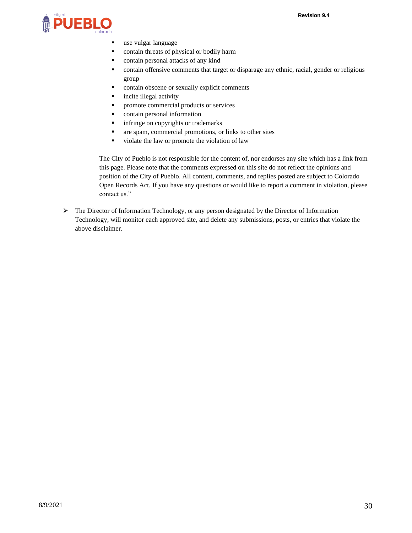

- use vulgar language
- contain threats of physical or bodily harm
- contain personal attacks of any kind
- contain offensive comments that target or disparage any ethnic, racial, gender or religious group
- contain obscene or sexually explicit comments
- incite illegal activity
- **•** promote commercial products or services
- contain personal information
- **·** infringe on copyrights or trademarks
- are spam, commercial promotions, or links to other sites
- violate the law or promote the violation of law

The City of Pueblo is not responsible for the content of, nor endorses any site which has a link from this page. Please note that the comments expressed on this site do not reflect the opinions and position of the City of Pueblo. All content, comments, and replies posted are subject to Colorado Open Records Act. If you have any questions or would like to report a comment in violation, please contact us."

➢ The Director of Information Technology, or any person designated by the Director of Information Technology, will monitor each approved site, and delete any submissions, posts, or entries that violate the above disclaimer.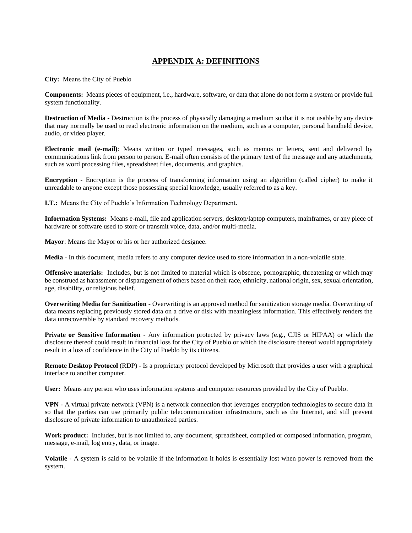# **APPENDIX A: DEFINITIONS**

<span id="page-30-0"></span>**City:** Means the City of Pueblo

**Components:** Means pieces of equipment, i.e., hardware, software, or data that alone do not form a system or provide full system functionality.

**Destruction of Media** - Destruction is the process of physically damaging a medium so that it is not usable by any device that may normally be used to read electronic information on the medium, such as a computer, personal handheld device, audio, or video player.

**Electronic mail (e-mail)**: Means written or typed messages, such as memos or letters, sent and delivered by communications link from person to person. E-mail often consists of the primary text of the message and any attachments, such as word processing files, spreadsheet files, documents, and graphics.

**Encryption** - Encryption is the process of transforming information using an algorithm (called cipher) to make it unreadable to anyone except those possessing special knowledge, usually referred to as a key.

**I.T.:** Means the City of Pueblo's Information Technology Department.

**Information Systems:** Means e-mail, file and application servers, desktop/laptop computers, mainframes, or any piece of hardware or software used to store or transmit voice, data, and/or multi-media.

**Mayor**: Means the Mayor or his or her authorized designee.

**Media** - In this document, media refers to any computer device used to store information in a non-volatile state.

**Offensive materials:** Includes, but is not limited to material which is obscene, pornographic, threatening or which may be construed as harassment or disparagement of others based on their race, ethnicity, national origin, sex, sexual orientation, age, disability, or religious belief.

**Overwriting Media for Sanitization -** Overwriting is an approved method for sanitization storage media. Overwriting of data means replacing previously stored data on a drive or disk with meaningless information. This effectively renders the data unrecoverable by standard recovery methods.

**Private or Sensitive Information** - Any information protected by privacy laws (e.g., CJIS or HIPAA) or which the disclosure thereof could result in financial loss for the City of Pueblo or which the disclosure thereof would appropriately result in a loss of confidence in the City of Pueblo by its citizens.

**Remote Desktop Protocol** (RDP) - Is a proprietary protocol developed by Microsoft that provides a user with a graphical interface to another computer.

**User:** Means any person who uses information systems and computer resources provided by the City of Pueblo.

**VPN** - A virtual private network (VPN) is a network connection that leverages encryption technologies to secure data in so that the parties can use primarily public telecommunication infrastructure, such as the Internet, and still prevent disclosure of private information to unauthorized parties.

**Work product:** Includes, but is not limited to, any document, spreadsheet, compiled or composed information, program, message, e-mail, log entry, data, or image.

**Volatile** - A system is said to be volatile if the information it holds is essentially lost when power is removed from the system.